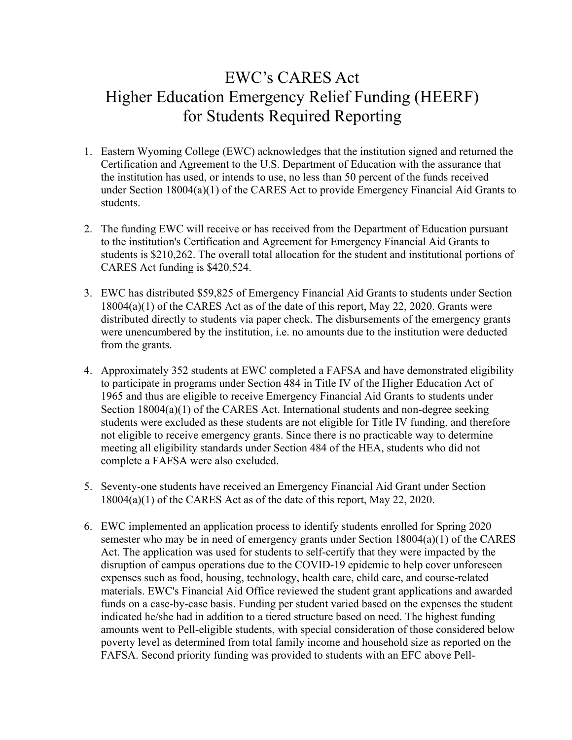## EWC's CARES Act Higher Education Emergency Relief Funding (HEERF) for Students Required Reporting

- 1. Eastern Wyoming College (EWC) acknowledges that the institution signed and returned the Certification and Agreement to the U.S. Department of Education with the assurance that the institution has used, or intends to use, no less than 50 percent of the funds received under Section 18004(a)(1) of the CARES Act to provide Emergency Financial Aid Grants to students.
- 2. The funding EWC will receive or has received from the Department of Education pursuant to the institution's Certification and Agreement for Emergency Financial Aid Grants to students is \$210,262. The overall total allocation for the student and institutional portions of CARES Act funding is \$420,524.
- 3. EWC has distributed \$59,825 of Emergency Financial Aid Grants to students under Section 18004(a)(1) of the CARES Act as of the date of this report, May 22, 2020. Grants were distributed directly to students via paper check. The disbursements of the emergency grants were unencumbered by the institution, i.e. no amounts due to the institution were deducted from the grants.
- 4. Approximately 352 students at EWC completed a FAFSA and have demonstrated eligibility to participate in programs under Section 484 in Title IV of the Higher Education Act of 1965 and thus are eligible to receive Emergency Financial Aid Grants to students under Section 18004(a)(1) of the CARES Act. International students and non-degree seeking students were excluded as these students are not eligible for Title IV funding, and therefore not eligible to receive emergency grants. Since there is no practicable way to determine meeting all eligibility standards under Section 484 of the HEA, students who did not complete a FAFSA were also excluded.
- 5. Seventy-one students have received an Emergency Financial Aid Grant under Section 18004(a)(1) of the CARES Act as of the date of this report, May 22, 2020.
- 6. EWC implemented an application process to identify students enrolled for Spring 2020 semester who may be in need of emergency grants under Section 18004(a)(1) of the CARES Act. The application was used for students to self-certify that they were impacted by the disruption of campus operations due to the COVID-19 epidemic to help cover unforeseen expenses such as food, housing, technology, health care, child care, and course-related materials. EWC's Financial Aid Office reviewed the student grant applications and awarded funds on a case-by-case basis. Funding per student varied based on the expenses the student indicated he/she had in addition to a tiered structure based on need. The highest funding amounts went to Pell-eligible students, with special consideration of those considered below poverty level as determined from total family income and household size as reported on the FAFSA. Second priority funding was provided to students with an EFC above Pell-